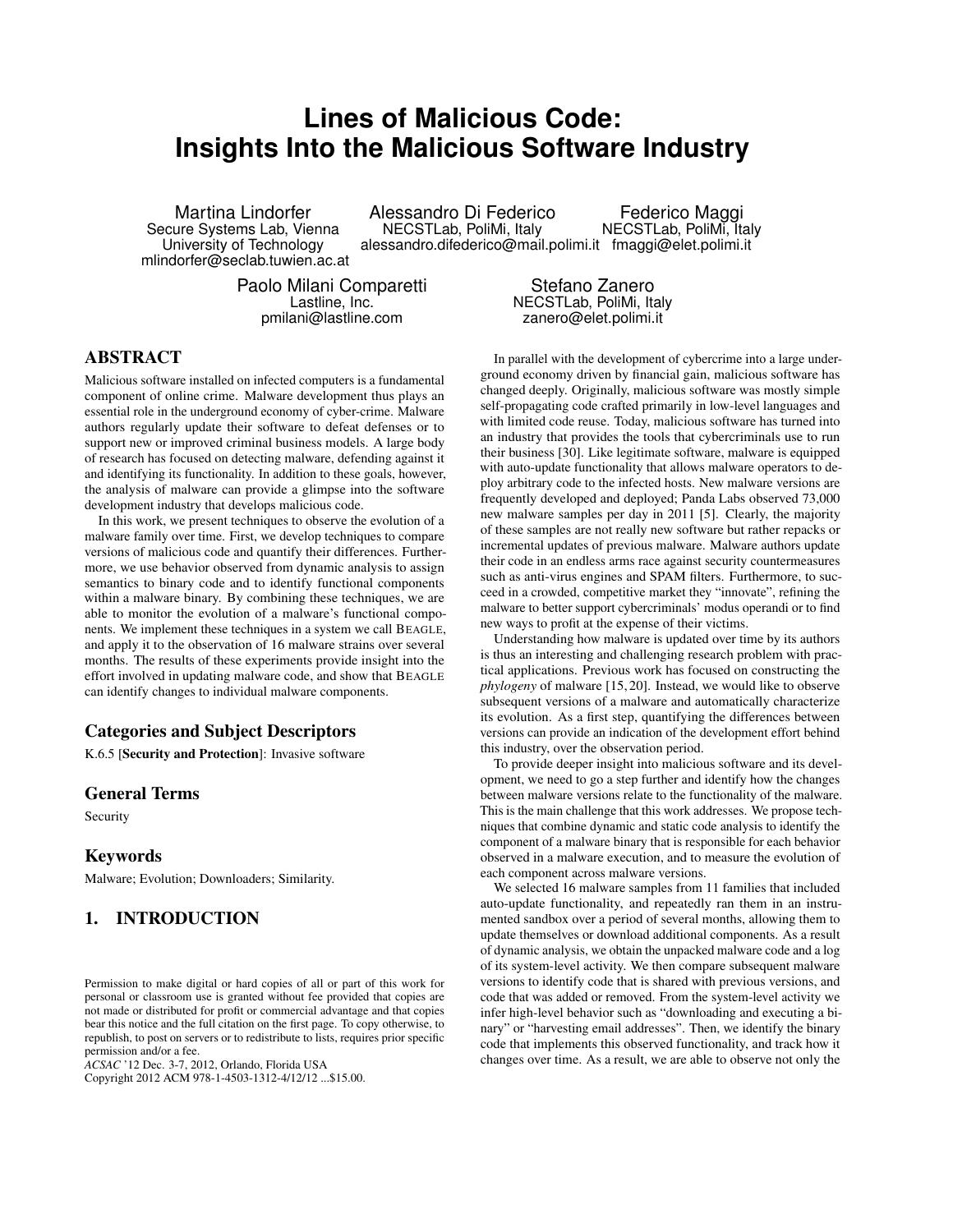# **Lines of Malicious Code: Insights Into the Malicious Software Industry**

Martina Lindorfer Secure Systems Lab, Vienna University of Technology mlindorfer@seclab.tuwien.ac.at

Alessandro Di Federico NECSTLab, PoliMi, Italy alessandro.difederico@mail.polimi.it fmaggi@elet.polimi.it Federico Maggi NECSTLab, PoliMi, Italy

Paolo Milani Comparetti Lastline, Inc. pmilani@lastline.com

Stefano Zanero NECSTLab, PoliMi, Italy zanero@elet.polimi.it

# ABSTRACT

Malicious software installed on infected computers is a fundamental component of online crime. Malware development thus plays an essential role in the underground economy of cyber-crime. Malware authors regularly update their software to defeat defenses or to support new or improved criminal business models. A large body of research has focused on detecting malware, defending against it and identifying its functionality. In addition to these goals, however, the analysis of malware can provide a glimpse into the software development industry that develops malicious code.

In this work, we present techniques to observe the evolution of a malware family over time. First, we develop techniques to compare versions of malicious code and quantify their differences. Furthermore, we use behavior observed from dynamic analysis to assign semantics to binary code and to identify functional components within a malware binary. By combining these techniques, we are able to monitor the evolution of a malware's functional components. We implement these techniques in a system we call BEAGLE, and apply it to the observation of 16 malware strains over several months. The results of these experiments provide insight into the effort involved in updating malware code, and show that BEAGLE can identify changes to individual malware components.

#### Categories and Subject Descriptors

K.6.5 [Security and Protection]: Invasive software

#### General Terms

Security

#### Keywords

Malware; Evolution; Downloaders; Similarity.

## 1. INTRODUCTION

*ACSAC* '12 Dec. 3-7, 2012, Orlando, Florida USA

Copyright 2012 ACM 978-1-4503-1312-4/12/12 ...\$15.00.

In parallel with the development of cybercrime into a large underground economy driven by financial gain, malicious software has changed deeply. Originally, malicious software was mostly simple self-propagating code crafted primarily in low-level languages and with limited code reuse. Today, malicious software has turned into an industry that provides the tools that cybercriminals use to run their business [30]. Like legitimate software, malware is equipped with auto-update functionality that allows malware operators to deploy arbitrary code to the infected hosts. New malware versions are frequently developed and deployed; Panda Labs observed 73,000 new malware samples per day in 2011 [5]. Clearly, the majority of these samples are not really new software but rather repacks or incremental updates of previous malware. Malware authors update their code in an endless arms race against security countermeasures such as anti-virus engines and SPAM filters. Furthermore, to succeed in a crowded, competitive market they "innovate", refining the malware to better support cybercriminals' modus operandi or to find new ways to profit at the expense of their victims.

Understanding how malware is updated over time by its authors is thus an interesting and challenging research problem with practical applications. Previous work has focused on constructing the *phylogeny* of malware [15, 20]. Instead, we would like to observe subsequent versions of a malware and automatically characterize its evolution. As a first step, quantifying the differences between versions can provide an indication of the development effort behind this industry, over the observation period.

To provide deeper insight into malicious software and its development, we need to go a step further and identify how the changes between malware versions relate to the functionality of the malware. This is the main challenge that this work addresses. We propose techniques that combine dynamic and static code analysis to identify the component of a malware binary that is responsible for each behavior observed in a malware execution, and to measure the evolution of each component across malware versions.

We selected 16 malware samples from 11 families that included auto-update functionality, and repeatedly ran them in an instrumented sandbox over a period of several months, allowing them to update themselves or download additional components. As a result of dynamic analysis, we obtain the unpacked malware code and a log of its system-level activity. We then compare subsequent malware versions to identify code that is shared with previous versions, and code that was added or removed. From the system-level activity we infer high-level behavior such as "downloading and executing a binary" or "harvesting email addresses". Then, we identify the binary code that implements this observed functionality, and track how it changes over time. As a result, we are able to observe not only the

Permission to make digital or hard copies of all or part of this work for personal or classroom use is granted without fee provided that copies are not made or distributed for profit or commercial advantage and that copies bear this notice and the full citation on the first page. To copy otherwise, to republish, to post on servers or to redistribute to lists, requires prior specific permission and/or a fee.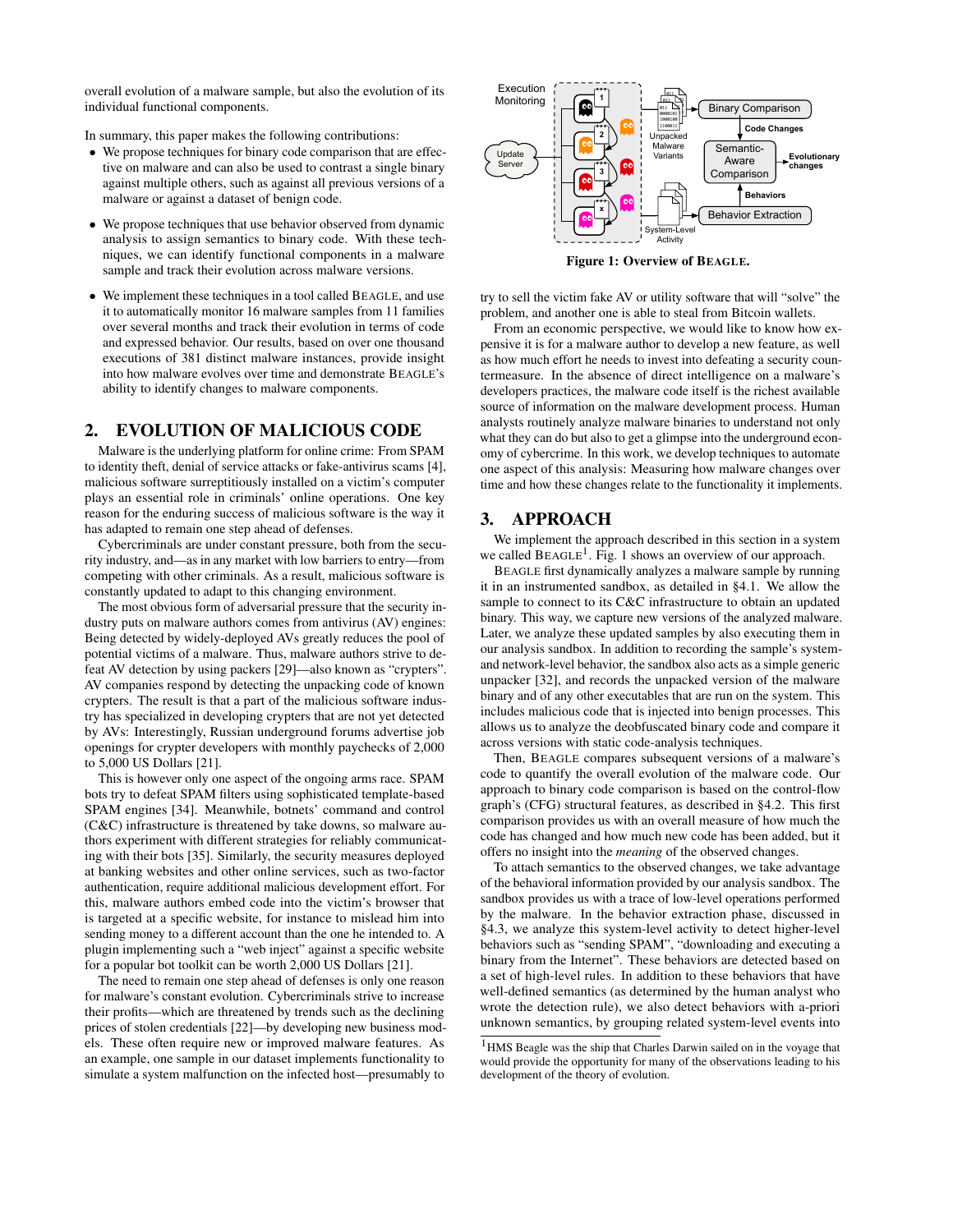overall evolution of a malware sample, but also the evolution of its individual functional components.

In summary, this paper makes the following contributions:

- We propose techniques for binary code comparison that are effective on malware and can also be used to contrast a single binary against multiple others, such as against all previous versions of a malware or against a dataset of benign code.
- We propose techniques that use behavior observed from dynamic analysis to assign semantics to binary code. With these techniques, we can identify functional components in a malware sample and track their evolution across malware versions.
- We implement these techniques in a tool called BEAGLE, and use it to automatically monitor 16 malware samples from 11 families over several months and track their evolution in terms of code and expressed behavior. Our results, based on over one thousand executions of 381 distinct malware instances, provide insight into how malware evolves over time and demonstrate BEAGLE's ability to identify changes to malware components.

## 2. EVOLUTION OF MALICIOUS CODE

Malware is the underlying platform for online crime: From SPAM to identity theft, denial of service attacks or fake-antivirus scams [4], malicious software surreptitiously installed on a victim's computer plays an essential role in criminals' online operations. One key reason for the enduring success of malicious software is the way it has adapted to remain one step ahead of defenses.

Cybercriminals are under constant pressure, both from the security industry, and—as in any market with low barriers to entry—from competing with other criminals. As a result, malicious software is constantly updated to adapt to this changing environment.

The most obvious form of adversarial pressure that the security industry puts on malware authors comes from antivirus (AV) engines: Being detected by widely-deployed AVs greatly reduces the pool of potential victims of a malware. Thus, malware authors strive to defeat AV detection by using packers [29]—also known as "crypters". AV companies respond by detecting the unpacking code of known crypters. The result is that a part of the malicious software industry has specialized in developing crypters that are not yet detected by AVs: Interestingly, Russian underground forums advertise job openings for crypter developers with monthly paychecks of 2,000 to 5,000 US Dollars [21].

This is however only one aspect of the ongoing arms race. SPAM bots try to defeat SPAM filters using sophisticated template-based SPAM engines [34]. Meanwhile, botnets' command and control (C&C) infrastructure is threatened by take downs, so malware authors experiment with different strategies for reliably communicating with their bots [35]. Similarly, the security measures deployed at banking websites and other online services, such as two-factor authentication, require additional malicious development effort. For this, malware authors embed code into the victim's browser that is targeted at a specific website, for instance to mislead him into sending money to a different account than the one he intended to. A plugin implementing such a "web inject" against a specific website for a popular bot toolkit can be worth 2,000 US Dollars [21].

The need to remain one step ahead of defenses is only one reason for malware's constant evolution. Cybercriminals strive to increase their profits—which are threatened by trends such as the declining prices of stolen credentials [22]—by developing new business models. These often require new or improved malware features. As an example, one sample in our dataset implements functionality to simulate a system malfunction on the infected host—presumably to



Figure 1: Overview of BEAGLE.

try to sell the victim fake AV or utility software that will "solve" the problem, and another one is able to steal from Bitcoin wallets.

From an economic perspective, we would like to know how expensive it is for a malware author to develop a new feature, as well as how much effort he needs to invest into defeating a security countermeasure. In the absence of direct intelligence on a malware's developers practices, the malware code itself is the richest available source of information on the malware development process. Human analysts routinely analyze malware binaries to understand not only what they can do but also to get a glimpse into the underground economy of cybercrime. In this work, we develop techniques to automate one aspect of this analysis: Measuring how malware changes over time and how these changes relate to the functionality it implements.

#### 3. APPROACH

We implement the approach described in this section in a system we called  $B$ EAGLE<sup>1</sup>. Fig. 1 shows an overview of our approach.

BEAGLE first dynamically analyzes a malware sample by running it in an instrumented sandbox, as detailed in §4.1. We allow the sample to connect to its C&C infrastructure to obtain an updated binary. This way, we capture new versions of the analyzed malware. Later, we analyze these updated samples by also executing them in our analysis sandbox. In addition to recording the sample's systemand network-level behavior, the sandbox also acts as a simple generic unpacker [32], and records the unpacked version of the malware binary and of any other executables that are run on the system. This includes malicious code that is injected into benign processes. This allows us to analyze the deobfuscated binary code and compare it across versions with static code-analysis techniques.

Then, BEAGLE compares subsequent versions of a malware's code to quantify the overall evolution of the malware code. Our approach to binary code comparison is based on the control-flow graph's (CFG) structural features, as described in §4.2. This first comparison provides us with an overall measure of how much the code has changed and how much new code has been added, but it offers no insight into the *meaning* of the observed changes.

To attach semantics to the observed changes, we take advantage of the behavioral information provided by our analysis sandbox. The sandbox provides us with a trace of low-level operations performed by the malware. In the behavior extraction phase, discussed in §4.3, we analyze this system-level activity to detect higher-level behaviors such as "sending SPAM", "downloading and executing a binary from the Internet". These behaviors are detected based on a set of high-level rules. In addition to these behaviors that have well-defined semantics (as determined by the human analyst who wrote the detection rule), we also detect behaviors with a-priori unknown semantics, by grouping related system-level events into

<sup>&</sup>lt;sup>1</sup>HMS Beagle was the ship that Charles Darwin sailed on in the voyage that would provide the opportunity for many of the observations leading to his development of the theory of evolution.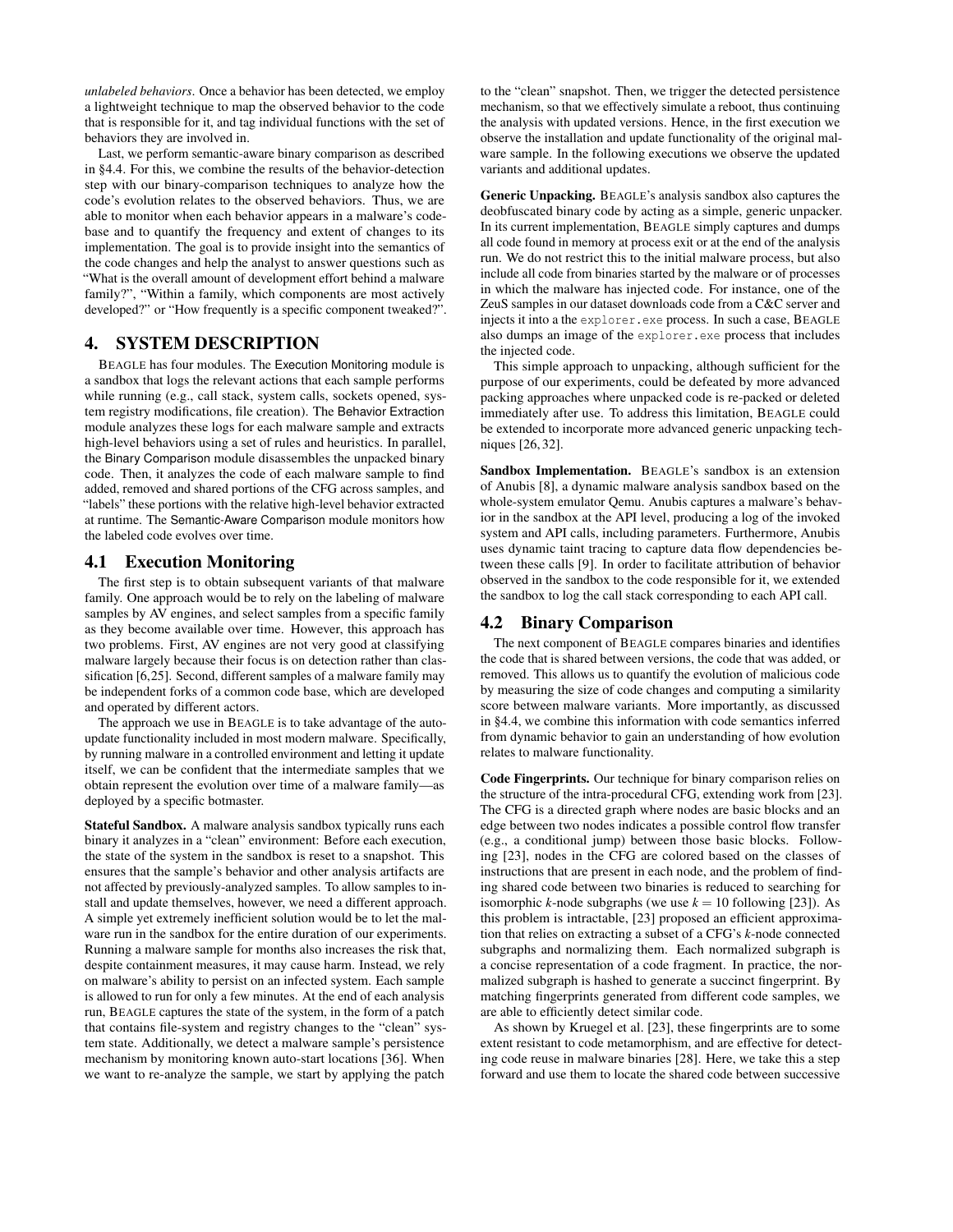*unlabeled behaviors*. Once a behavior has been detected, we employ a lightweight technique to map the observed behavior to the code that is responsible for it, and tag individual functions with the set of behaviors they are involved in.

Last, we perform semantic-aware binary comparison as described in §4.4. For this, we combine the results of the behavior-detection step with our binary-comparison techniques to analyze how the code's evolution relates to the observed behaviors. Thus, we are able to monitor when each behavior appears in a malware's codebase and to quantify the frequency and extent of changes to its implementation. The goal is to provide insight into the semantics of the code changes and help the analyst to answer questions such as "What is the overall amount of development effort behind a malware family?", "Within a family, which components are most actively developed?" or "How frequently is a specific component tweaked?".

# 4. SYSTEM DESCRIPTION

BEAGLE has four modules. The Execution Monitoring module is a sandbox that logs the relevant actions that each sample performs while running (e.g., call stack, system calls, sockets opened, system registry modifications, file creation). The Behavior Extraction module analyzes these logs for each malware sample and extracts high-level behaviors using a set of rules and heuristics. In parallel, the Binary Comparison module disassembles the unpacked binary code. Then, it analyzes the code of each malware sample to find added, removed and shared portions of the CFG across samples, and "labels" these portions with the relative high-level behavior extracted at runtime. The Semantic-Aware Comparison module monitors how the labeled code evolves over time.

## 4.1 Execution Monitoring

The first step is to obtain subsequent variants of that malware family. One approach would be to rely on the labeling of malware samples by AV engines, and select samples from a specific family as they become available over time. However, this approach has two problems. First, AV engines are not very good at classifying malware largely because their focus is on detection rather than classification [6,25]. Second, different samples of a malware family may be independent forks of a common code base, which are developed and operated by different actors.

The approach we use in BEAGLE is to take advantage of the autoupdate functionality included in most modern malware. Specifically, by running malware in a controlled environment and letting it update itself, we can be confident that the intermediate samples that we obtain represent the evolution over time of a malware family—as deployed by a specific botmaster.

Stateful Sandbox. A malware analysis sandbox typically runs each binary it analyzes in a "clean" environment: Before each execution, the state of the system in the sandbox is reset to a snapshot. This ensures that the sample's behavior and other analysis artifacts are not affected by previously-analyzed samples. To allow samples to install and update themselves, however, we need a different approach. A simple yet extremely inefficient solution would be to let the malware run in the sandbox for the entire duration of our experiments. Running a malware sample for months also increases the risk that, despite containment measures, it may cause harm. Instead, we rely on malware's ability to persist on an infected system. Each sample is allowed to run for only a few minutes. At the end of each analysis run, BEAGLE captures the state of the system, in the form of a patch that contains file-system and registry changes to the "clean" system state. Additionally, we detect a malware sample's persistence mechanism by monitoring known auto-start locations [36]. When we want to re-analyze the sample, we start by applying the patch

to the "clean" snapshot. Then, we trigger the detected persistence mechanism, so that we effectively simulate a reboot, thus continuing the analysis with updated versions. Hence, in the first execution we observe the installation and update functionality of the original malware sample. In the following executions we observe the updated variants and additional updates.

Generic Unpacking. BEAGLE's analysis sandbox also captures the deobfuscated binary code by acting as a simple, generic unpacker. In its current implementation, BEAGLE simply captures and dumps all code found in memory at process exit or at the end of the analysis run. We do not restrict this to the initial malware process, but also include all code from binaries started by the malware or of processes in which the malware has injected code. For instance, one of the ZeuS samples in our dataset downloads code from a C&C server and injects it into a the explorer.exe process. In such a case, BEAGLE also dumps an image of the explorer.exe process that includes the injected code.

This simple approach to unpacking, although sufficient for the purpose of our experiments, could be defeated by more advanced packing approaches where unpacked code is re-packed or deleted immediately after use. To address this limitation, BEAGLE could be extended to incorporate more advanced generic unpacking techniques [26, 32].

Sandbox Implementation. BEAGLE's sandbox is an extension of Anubis [8], a dynamic malware analysis sandbox based on the whole-system emulator Qemu. Anubis captures a malware's behavior in the sandbox at the API level, producing a log of the invoked system and API calls, including parameters. Furthermore, Anubis uses dynamic taint tracing to capture data flow dependencies between these calls [9]. In order to facilitate attribution of behavior observed in the sandbox to the code responsible for it, we extended the sandbox to log the call stack corresponding to each API call.

#### 4.2 Binary Comparison

The next component of BEAGLE compares binaries and identifies the code that is shared between versions, the code that was added, or removed. This allows us to quantify the evolution of malicious code by measuring the size of code changes and computing a similarity score between malware variants. More importantly, as discussed in §4.4, we combine this information with code semantics inferred from dynamic behavior to gain an understanding of how evolution relates to malware functionality.

Code Fingerprints. Our technique for binary comparison relies on the structure of the intra-procedural CFG, extending work from [23]. The CFG is a directed graph where nodes are basic blocks and an edge between two nodes indicates a possible control flow transfer (e.g., a conditional jump) between those basic blocks. Following [23], nodes in the CFG are colored based on the classes of instructions that are present in each node, and the problem of finding shared code between two binaries is reduced to searching for isomorphic *k*-node subgraphs (we use  $k = 10$  following [23]). As this problem is intractable, [23] proposed an efficient approximation that relies on extracting a subset of a CFG's *k*-node connected subgraphs and normalizing them. Each normalized subgraph is a concise representation of a code fragment. In practice, the normalized subgraph is hashed to generate a succinct fingerprint. By matching fingerprints generated from different code samples, we are able to efficiently detect similar code.

As shown by Kruegel et al. [23], these fingerprints are to some extent resistant to code metamorphism, and are effective for detecting code reuse in malware binaries [28]. Here, we take this a step forward and use them to locate the shared code between successive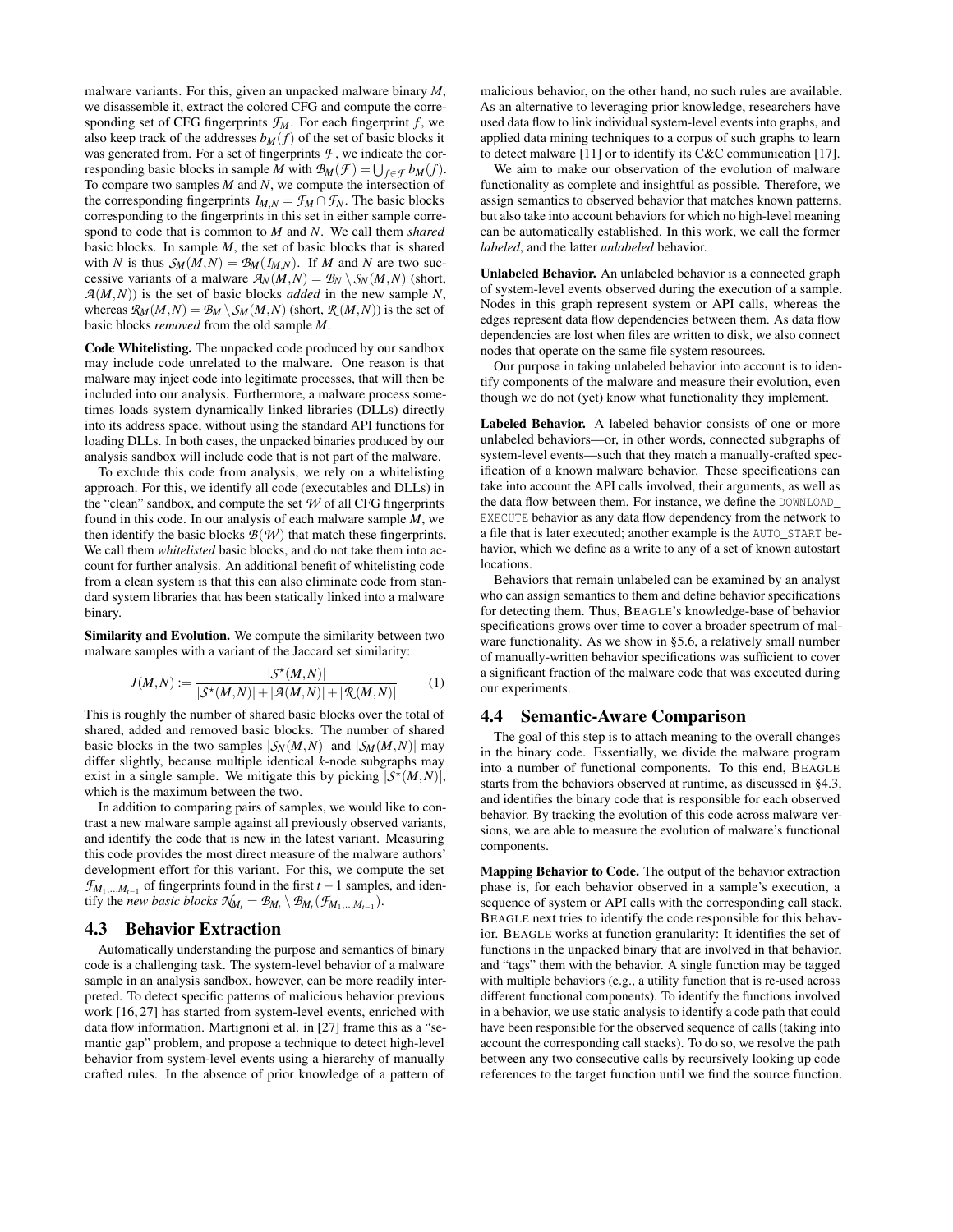malware variants. For this, given an unpacked malware binary *M*, we disassemble it, extract the colored CFG and compute the corresponding set of CFG fingerprints  $\mathcal{F}_M$ . For each fingerprint *f*, we also keep track of the addresses  $b_M(f)$  of the set of basic blocks it was generated from. For a set of fingerprints *F* , we indicate the corresponding basic blocks in sample *M* with  $B_M(\mathcal{F}) = \bigcup_{f \in \mathcal{F}} b_M(f)$ . To compare two samples *M* and *N*, we compute the intersection of the corresponding fingerprints  $I_{M,N} = \mathcal{F}_M \cap \mathcal{F}_N$ . The basic blocks corresponding to the fingerprints in this set in either sample correspond to code that is common to *M* and *N*. We call them *shared* basic blocks. In sample *M*, the set of basic blocks that is shared with *N* is thus  $S_M(M,N) = B_M(I_{M,N})$ . If *M* and *N* are two successive variants of a malware  $\mathcal{A}_N(M,N) = \mathcal{B}_N \setminus \mathcal{S}_N(M,N)$  (short,  $A(M,N)$  is the set of basic blocks *added* in the new sample N, whereas  $\mathcal{R}_M(M,N) = \mathcal{B}_M \setminus \mathcal{S}_M(M,N)$  (short,  $\mathcal{R}(M,N)$ ) is the set of basic blocks *removed* from the old sample *M*.

Code Whitelisting. The unpacked code produced by our sandbox may include code unrelated to the malware. One reason is that malware may inject code into legitimate processes, that will then be included into our analysis. Furthermore, a malware process sometimes loads system dynamically linked libraries (DLLs) directly into its address space, without using the standard API functions for loading DLLs. In both cases, the unpacked binaries produced by our analysis sandbox will include code that is not part of the malware.

To exclude this code from analysis, we rely on a whitelisting approach. For this, we identify all code (executables and DLLs) in the "clean" sandbox, and compute the set  $W$  of all CFG fingerprints found in this code. In our analysis of each malware sample *M*, we then identify the basic blocks  $\mathcal{B}(\mathcal{W})$  that match these fingerprints. We call them *whitelisted* basic blocks, and do not take them into account for further analysis. An additional benefit of whitelisting code from a clean system is that this can also eliminate code from standard system libraries that has been statically linked into a malware binary.

Similarity and Evolution. We compute the similarity between two malware samples with a variant of the Jaccard set similarity:

$$
J(M,N) := \frac{|S^*(M,N)|}{|S^*(M,N)| + |\mathcal{A}(M,N)| + |\mathcal{R}(M,N)|} \tag{1}
$$

This is roughly the number of shared basic blocks over the total of shared, added and removed basic blocks. The number of shared basic blocks in the two samples  $|\mathcal{S}_N(M,N)|$  and  $|\mathcal{S}_M(M,N)|$  may differ slightly, because multiple identical *k*-node subgraphs may exist in a single sample. We mitigate this by picking  $|S^*(M,N)|$ , which is the maximum between the two.

In addition to comparing pairs of samples, we would like to contrast a new malware sample against all previously observed variants, and identify the code that is new in the latest variant. Measuring this code provides the most direct measure of the malware authors' development effort for this variant. For this, we compute the set  $\mathcal{F}_{M_1,...M_{t-1}}$  of fingerprints found in the first *t* − 1 samples, and identify the *new basic blocks*  $\mathcal{N}_{M_t} = \mathcal{B}_{M_t} \setminus \mathcal{B}_{M_t}(\mathcal{F}_{M_1,\dots,M_{t-1}}).$ 

#### 4.3 Behavior Extraction

Automatically understanding the purpose and semantics of binary code is a challenging task. The system-level behavior of a malware sample in an analysis sandbox, however, can be more readily interpreted. To detect specific patterns of malicious behavior previous work [16, 27] has started from system-level events, enriched with data flow information. Martignoni et al. in [27] frame this as a "semantic gap" problem, and propose a technique to detect high-level behavior from system-level events using a hierarchy of manually crafted rules. In the absence of prior knowledge of a pattern of

malicious behavior, on the other hand, no such rules are available. As an alternative to leveraging prior knowledge, researchers have used data flow to link individual system-level events into graphs, and applied data mining techniques to a corpus of such graphs to learn to detect malware [11] or to identify its C&C communication [17].

We aim to make our observation of the evolution of malware functionality as complete and insightful as possible. Therefore, we assign semantics to observed behavior that matches known patterns, but also take into account behaviors for which no high-level meaning can be automatically established. In this work, we call the former *labeled*, and the latter *unlabeled* behavior.

Unlabeled Behavior. An unlabeled behavior is a connected graph of system-level events observed during the execution of a sample. Nodes in this graph represent system or API calls, whereas the edges represent data flow dependencies between them. As data flow dependencies are lost when files are written to disk, we also connect nodes that operate on the same file system resources.

Our purpose in taking unlabeled behavior into account is to identify components of the malware and measure their evolution, even though we do not (yet) know what functionality they implement.

Labeled Behavior. A labeled behavior consists of one or more unlabeled behaviors—or, in other words, connected subgraphs of system-level events—such that they match a manually-crafted specification of a known malware behavior. These specifications can take into account the API calls involved, their arguments, as well as the data flow between them. For instance, we define the DOWNLOAD\_ EXECUTE behavior as any data flow dependency from the network to a file that is later executed; another example is the AUTO\_START behavior, which we define as a write to any of a set of known autostart locations.

Behaviors that remain unlabeled can be examined by an analyst who can assign semantics to them and define behavior specifications for detecting them. Thus, BEAGLE's knowledge-base of behavior specifications grows over time to cover a broader spectrum of malware functionality. As we show in §5.6, a relatively small number of manually-written behavior specifications was sufficient to cover a significant fraction of the malware code that was executed during our experiments.

# 4.4 Semantic-Aware Comparison

The goal of this step is to attach meaning to the overall changes in the binary code. Essentially, we divide the malware program into a number of functional components. To this end, BEAGLE starts from the behaviors observed at runtime, as discussed in §4.3, and identifies the binary code that is responsible for each observed behavior. By tracking the evolution of this code across malware versions, we are able to measure the evolution of malware's functional components.

Mapping Behavior to Code. The output of the behavior extraction phase is, for each behavior observed in a sample's execution, a sequence of system or API calls with the corresponding call stack. BEAGLE next tries to identify the code responsible for this behavior. BEAGLE works at function granularity: It identifies the set of functions in the unpacked binary that are involved in that behavior, and "tags" them with the behavior. A single function may be tagged with multiple behaviors (e.g., a utility function that is re-used across different functional components). To identify the functions involved in a behavior, we use static analysis to identify a code path that could have been responsible for the observed sequence of calls (taking into account the corresponding call stacks). To do so, we resolve the path between any two consecutive calls by recursively looking up code references to the target function until we find the source function.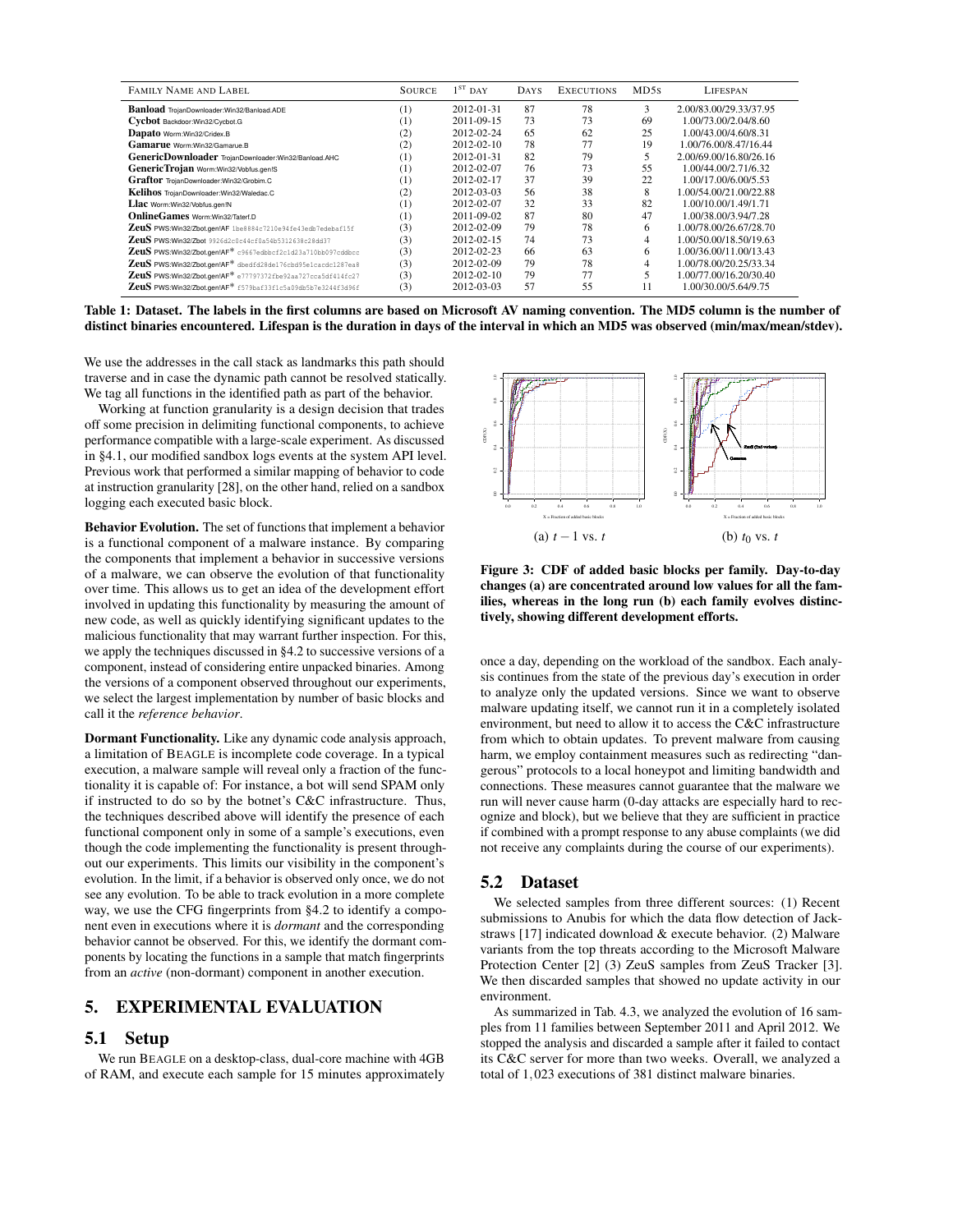| FAMILY NAME AND LABEL                                        | <b>SOURCE</b> | $1ST$ DAY        | <b>DAYS</b> | <b>EXECUTIONS</b> | MD5s           | LIFESPAN               |
|--------------------------------------------------------------|---------------|------------------|-------------|-------------------|----------------|------------------------|
| Banload TrojanDownloader:Win32/Banload.ADE                   | $^{(1)}$      | 2012-01-31       | 87          | 78                | 3              | 2.00/83.00/29.33/37.95 |
| Cycbot Backdoor:Win32/Cycbot.G                               | $^{(1)}$      | 2011-09-15       | 73          | 73                | 69             | 1.00/73.00/2.04/8.60   |
| Dapato Worm:Win32/Cridex.B                                   | (2)           | 2012-02-24       | 65          | 62                | 25             | 1.00/43.00/4.60/8.31   |
| Gamarue Worm:Win32/Gamarue B                                 | (2)           | $2012 - 02 - 10$ | 78          | 77                | 19             | 1.00/76.00/8.47/16.44  |
| GenericDownloader TrojanDownloader:Win32/Banload.AHC         | $^{(1)}$      | 2012-01-31       | 82          | 79                | 5              | 2.00/69.00/16.80/26.16 |
| GenericTrojan Worm:Win32/Vobfus.gen!S                        | (1)           | 2012-02-07       | 76          | 73                | 55             | 1.00/44.00/2.71/6.32   |
| Graftor TrojanDownloader:Win32/Grobim.C                      | (1)           | 2012-02-17       | 37          | 39                | 22             | 1.00/17.00/6.00/5.53   |
| Kelihos TrojanDownloader:Win32/Waledac.C                     | (2)           | 2012-03-03       | 56          | 38                | 8              | 1.00/54.00/21.00/22.88 |
| Llac Worm:Win32/Vobfus.gen!N                                 | (1)           | 2012-02-07       | 32          | 33                | 82             | 1.00/10.00/1.49/1.71   |
| <b>OnlineGames</b> Worm:Win32/Taterf.D                       | (1)           | 2011-09-02       | 87          | 80                | 47             | 1.00/38.00/3.94/7.28   |
| ZeuS PWS:Win32/Zbot.genIAF 1be8884c7210e94fe43edb7edebaf15f  | (3)           | 2012-02-09       | 79          | 78                | 6              | 1.00/78.00/26.67/28.70 |
| ZeuS PWS:Win32/Zbot 9926d2c0c44cf0a54b5312638c28dd37         | (3)           | 2012-02-15       | 74          | 73                | 4              | 1.00/50.00/18.50/19.63 |
| ZeuS PWS:Win32/Zbot.gen!AF* c9667edbbcf2c1d23a710bb097cddbcc | (3)           | 2012-02-23       | 66          | 63                | 6              | 1.00/36.00/11.00/13.43 |
| ZeuS PWS:Win32/Zbot.gen!AF* dbedfd28de176cbd95e1cacdc1287ea8 | (3)           | 2012-02-09       | 79          | 78                | $\overline{4}$ | 1.00/78.00/20.25/33.34 |
| ZeuS PWS:Win32/Zbot.gen!AF* e77797372fbe92aa727cca5df414fc27 | (3)           | 2012-02-10       | 79          | 77                | 5              | 1.00/77.00/16.20/30.40 |
| ZeuS PWS:Win32/Zbot.gen!AF* f579baf33f1c5a09db5b7e3244f3d96f | (3)           | 2012-03-03       | 57          | 55                | 11             | 1.00/30.00/5.64/9.75   |

Table 1: Dataset. The labels in the first columns are based on Microsoft AV naming convention. The MD5 column is the number of distinct binaries encountered. Lifespan is the duration in days of the interval in which an MD5 was observed (min/max/mean/stdev).

We use the addresses in the call stack as landmarks this path should traverse and in case the dynamic path cannot be resolved statically. We tag all functions in the identified path as part of the behavior.

Working at function granularity is a design decision that trades off some precision in delimiting functional components, to achieve performance compatible with a large-scale experiment. As discussed in §4.1, our modified sandbox logs events at the system API level. Previous work that performed a similar mapping of behavior to code at instruction granularity [28], on the other hand, relied on a sandbox logging each executed basic block.

Behavior Evolution. The set of functions that implement a behavior is a functional component of a malware instance. By comparing the components that implement a behavior in successive versions of a malware, we can observe the evolution of that functionality over time. This allows us to get an idea of the development effort involved in updating this functionality by measuring the amount of new code, as well as quickly identifying significant updates to the malicious functionality that may warrant further inspection. For this, we apply the techniques discussed in §4.2 to successive versions of a component, instead of considering entire unpacked binaries. Among the versions of a component observed throughout our experiments, we select the largest implementation by number of basic blocks and call it the *reference behavior*.

Dormant Functionality. Like any dynamic code analysis approach, a limitation of BEAGLE is incomplete code coverage. In a typical execution, a malware sample will reveal only a fraction of the functionality it is capable of: For instance, a bot will send SPAM only if instructed to do so by the botnet's C&C infrastructure. Thus, the techniques described above will identify the presence of each functional component only in some of a sample's executions, even though the code implementing the functionality is present throughout our experiments. This limits our visibility in the component's evolution. In the limit, if a behavior is observed only once, we do not see any evolution. To be able to track evolution in a more complete way, we use the CFG fingerprints from §4.2 to identify a component even in executions where it is *dormant* and the corresponding behavior cannot be observed. For this, we identify the dormant components by locating the functions in a sample that match fingerprints from an *active* (non-dormant) component in another execution.

## 5. EXPERIMENTAL EVALUATION

#### 5.1 Setup

We run BEAGLE on a desktop-class, dual-core machine with 4GB of RAM, and execute each sample for 15 minutes approximately



Figure 3: CDF of added basic blocks per family. Day-to-day changes (a) are concentrated around low values for all the families, whereas in the long run (b) each family evolves distinctively, showing different development efforts.

once a day, depending on the workload of the sandbox. Each analysis continues from the state of the previous day's execution in order to analyze only the updated versions. Since we want to observe malware updating itself, we cannot run it in a completely isolated environment, but need to allow it to access the C&C infrastructure from which to obtain updates. To prevent malware from causing harm, we employ containment measures such as redirecting "dangerous" protocols to a local honeypot and limiting bandwidth and connections. These measures cannot guarantee that the malware we run will never cause harm (0-day attacks are especially hard to recognize and block), but we believe that they are sufficient in practice if combined with a prompt response to any abuse complaints (we did not receive any complaints during the course of our experiments).

## 5.2 Dataset

We selected samples from three different sources: (1) Recent submissions to Anubis for which the data flow detection of Jackstraws [17] indicated download & execute behavior. (2) Malware variants from the top threats according to the Microsoft Malware Protection Center [2] (3) ZeuS samples from ZeuS Tracker [3]. We then discarded samples that showed no update activity in our environment.

As summarized in Tab. 4.3, we analyzed the evolution of 16 samples from 11 families between September 2011 and April 2012. We stopped the analysis and discarded a sample after it failed to contact its C&C server for more than two weeks. Overall, we analyzed a total of 1,023 executions of 381 distinct malware binaries.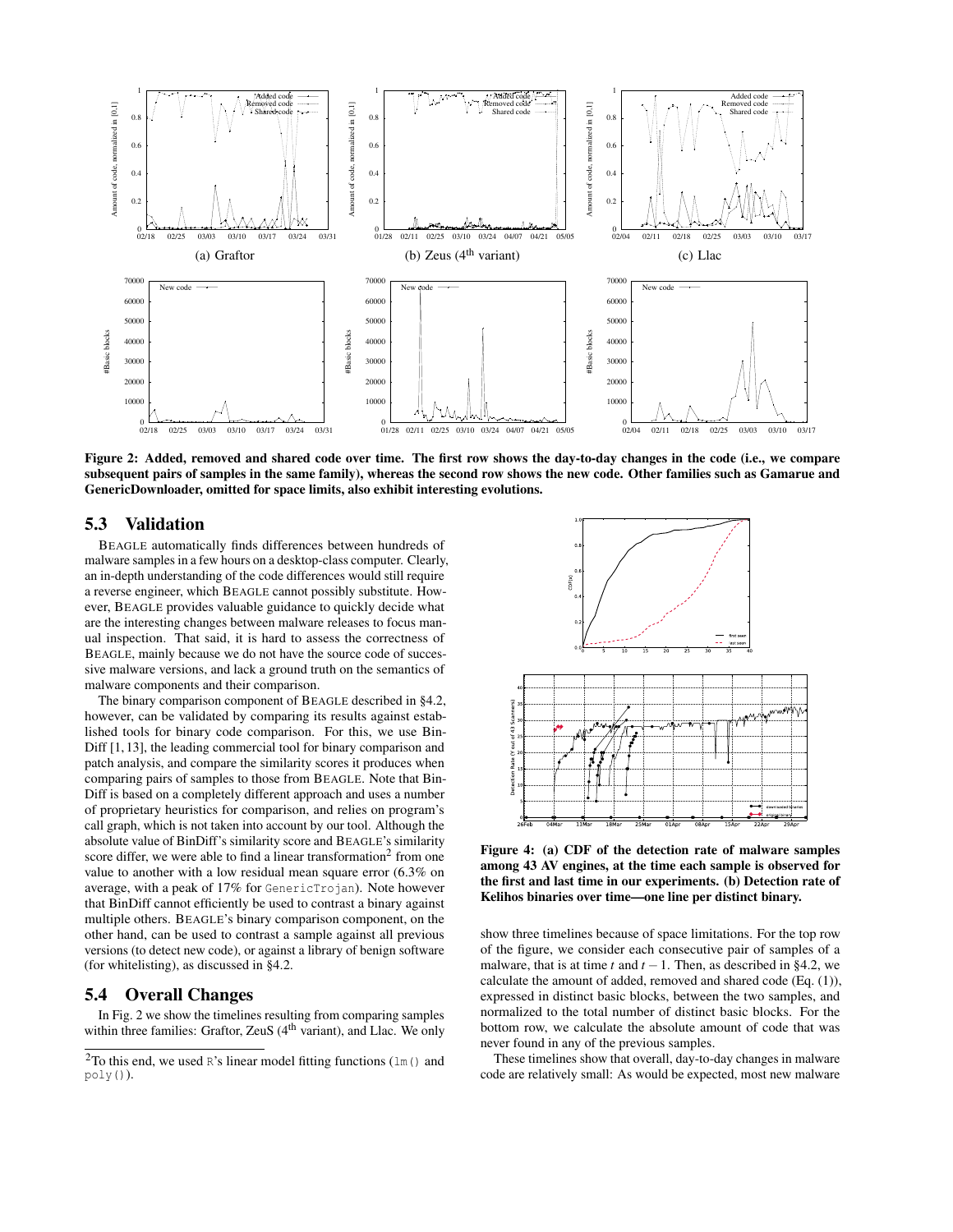

Figure 2: Added, removed and shared code over time. The first row shows the day-to-day changes in the code (i.e., we compare subsequent pairs of samples in the same family), whereas the second row shows the new code. Other families such as Gamarue and GenericDownloader, omitted for space limits, also exhibit interesting evolutions.

#### 5.3 Validation

BEAGLE automatically finds differences between hundreds of malware samples in a few hours on a desktop-class computer. Clearly, an in-depth understanding of the code differences would still require a reverse engineer, which BEAGLE cannot possibly substitute. However, BEAGLE provides valuable guidance to quickly decide what are the interesting changes between malware releases to focus manual inspection. That said, it is hard to assess the correctness of BEAGLE, mainly because we do not have the source code of successive malware versions, and lack a ground truth on the semantics of malware components and their comparison.

The binary comparison component of BEAGLE described in §4.2, however, can be validated by comparing its results against established tools for binary code comparison. For this, we use Bin-Diff  $[1, 13]$ , the leading commercial tool for binary comparison and patch analysis, and compare the similarity scores it produces when comparing pairs of samples to those from BEAGLE. Note that Bin-Diff is based on a completely different approach and uses a number of proprietary heuristics for comparison, and relies on program's call graph, which is not taken into account by our tool. Although the absolute value of BinDiff's similarity score and BEAGLE's similarity score differ, we were able to find a linear transformation<sup>2</sup> from one value to another with a low residual mean square error (6.3% on average, with a peak of 17% for GenericTrojan). Note however that BinDiff cannot efficiently be used to contrast a binary against multiple others. BEAGLE's binary comparison component, on the other hand, can be used to contrast a sample against all previous versions (to detect new code), or against a library of benign software (for whitelisting), as discussed in §4.2.

# 5.4 Overall Changes

In Fig. 2 we show the timelines resulting from comparing samples within three families: Graftor, ZeuS  $(4<sup>th</sup>$  variant), and Llac. We only



Figure 4: (a) CDF of the detection rate of malware samples among 43 AV engines, at the time each sample is observed for the first and last time in our experiments. (b) Detection rate of Kelihos binaries over time—one line per distinct binary.

show three timelines because of space limitations. For the top row of the figure, we consider each consecutive pair of samples of a malware, that is at time  $t$  and  $t - 1$ . Then, as described in §4.2, we calculate the amount of added, removed and shared code (Eq. (1)), expressed in distinct basic blocks, between the two samples, and normalized to the total number of distinct basic blocks. For the bottom row, we calculate the absolute amount of code that was never found in any of the previous samples.

These timelines show that overall, day-to-day changes in malware code are relatively small: As would be expected, most new malware

<sup>&</sup>lt;sup>2</sup>To this end, we used R's linear model fitting functions ( $lm($ ) and poly()).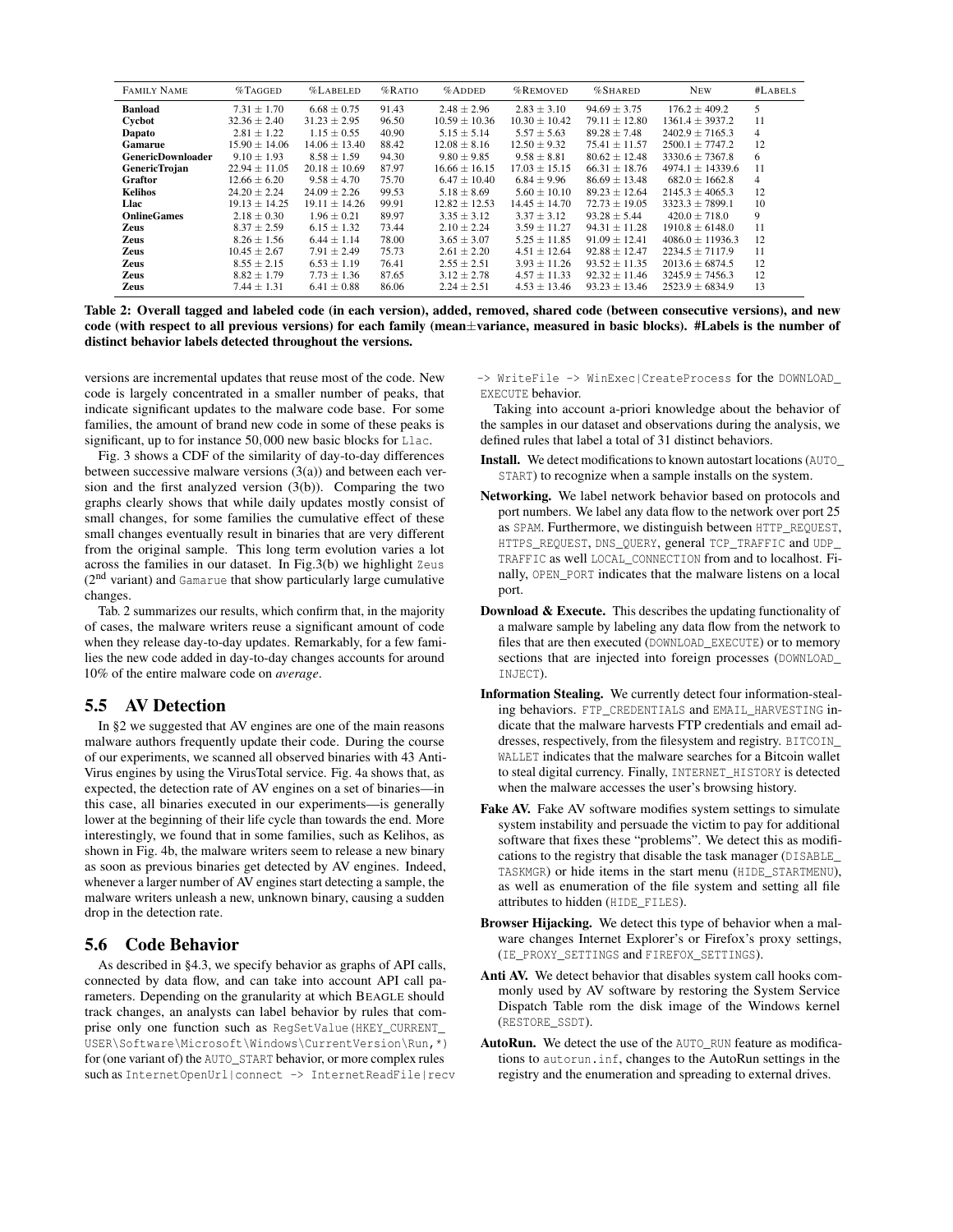| <b>FAMILY NAME</b>       | $\%$ TAGGED       | $%$ LABELED       | $%$ RATIO | $%$ ADDED         | %REMOVED          | $%$ SHARED        | <b>NEW</b>           | #LABELS        |
|--------------------------|-------------------|-------------------|-----------|-------------------|-------------------|-------------------|----------------------|----------------|
| <b>Banload</b>           | $7.31 \pm 1.70$   | $6.68 \pm 0.75$   | 91.43     | $2.48 \pm 2.96$   | $2.83 \pm 3.10$   | $94.69 \pm 3.75$  | $176.2 \pm 409.2$    | 5              |
| Cycbot                   | $32.36 \pm 2.40$  | $31.23 \pm 2.95$  | 96.50     | $10.59 \pm 10.36$ | $10.30 \pm 10.42$ | $79.11 \pm 12.80$ | $1361.4 \pm 3937.2$  | 11             |
| Dapato                   | $2.81 \pm 1.22$   | $1.15 \pm 0.55$   | 40.90     | $5.15 \pm 5.14$   | $5.57 \pm 5.63$   | $89.28 \pm 7.48$  | $2402.9 \pm 7165.3$  | $\overline{4}$ |
| Gamarue                  | $15.90 \pm 14.06$ | $14.06 \pm 13.40$ | 88.42     | $12.08 \pm 8.16$  | $12.50 \pm 9.32$  | $75.41 \pm 11.57$ | $2500.1 \pm 7747.2$  | 12             |
| <b>GenericDownloader</b> | $9.10 \pm 1.93$   | $8.58 \pm 1.59$   | 94.30     | $9.80 \pm 9.85$   | $9.58 \pm 8.81$   | $80.62 \pm 12.48$ | $3330.6 \pm 7367.8$  | 6              |
| <b>GenericTrojan</b>     | $22.94 \pm 11.05$ | $20.18 \pm 10.69$ | 87.97     | $16.66 \pm 16.15$ | $17.03 \pm 15.15$ | $66.31 \pm 18.76$ | $4974.1 \pm 14339.6$ | 11             |
| Graftor                  | $12.66 \pm 6.20$  | $9.58 \pm 4.70$   | 75.70     | $6.47 \pm 10.40$  | $6.84 \pm 9.96$   | $86.69 \pm 13.48$ | $682.0 \pm 1662.8$   | 4              |
| Kelihos                  | $24.20 \pm 2.24$  | $24.09 \pm 2.26$  | 99.53     | $5.18 \pm 8.69$   | $5.60 + 10.10$    | $89.23 + 12.64$   | $2145.3 \pm 4065.3$  | 12             |
| Llac                     | $19.13 + 14.25$   | $19.11 \pm 14.26$ | 99.91     | $12.82 \pm 12.53$ | $14.45 \pm 14.70$ | $72.73 \pm 19.05$ | $3323.3 \pm 7899.1$  | 10             |
| <b>OnlineGames</b>       | $2.18 \pm 0.30$   | $1.96 \pm 0.21$   | 89.97     | $3.35 \pm 3.12$   | $3.37 \pm 3.12$   | $93.28 \pm 5.44$  | $420.0 \pm 718.0$    | 9              |
| Zeus                     | $8.37 \pm 2.59$   | $6.15 \pm 1.32$   | 73.44     | $2.10 \pm 2.24$   | $3.59 + 11.27$    | $94.31 + 11.28$   | $1910.8 + 6148.0$    | 11             |
| Zeus                     | $8.26 \pm 1.56$   | $6.44 \pm 1.14$   | 78.00     | $3.65 \pm 3.07$   | $5.25 \pm 11.85$  | $91.09 \pm 12.41$ | $4086.0 + 11936.3$   | 12             |
| Zeus                     | $10.45 \pm 2.67$  | $7.91 \pm 2.49$   | 75.73     | $2.61 \pm 2.20$   | $4.51 \pm 12.64$  | $92.88 \pm 12.47$ | $2234.5 \pm 7117.9$  | 11             |
| Zeus                     | $8.55 \pm 2.15$   | $6.53 \pm 1.19$   | 76.41     | $2.55 \pm 2.51$   | $3.93 \pm 11.26$  | $93.52 \pm 11.35$ | $2013.6 \pm 6874.5$  | 12             |
| Zeus                     | $8.82 \pm 1.79$   | $7.73 \pm 1.36$   | 87.65     | $3.12 \pm 2.78$   | $4.57 \pm 11.33$  | $92.32 \pm 11.46$ | $3245.9 \pm 7456.3$  | 12             |
| Zeus                     | $7.44 \pm 1.31$   | $6.41 \pm 0.88$   | 86.06     | $2.24 \pm 2.51$   | $4.53 \pm 13.46$  | $93.23 \pm 13.46$ | $2523.9 \pm 6834.9$  | 13             |

Table 2: Overall tagged and labeled code (in each version), added, removed, shared code (between consecutive versions), and new code (with respect to all previous versions) for each family (mean±variance, measured in basic blocks). #Labels is the number of distinct behavior labels detected throughout the versions.

versions are incremental updates that reuse most of the code. New code is largely concentrated in a smaller number of peaks, that indicate significant updates to the malware code base. For some families, the amount of brand new code in some of these peaks is significant, up to for instance 50,000 new basic blocks for Llac.

Fig. 3 shows a CDF of the similarity of day-to-day differences between successive malware versions  $(3(a))$  and between each version and the first analyzed version (3(b)). Comparing the two graphs clearly shows that while daily updates mostly consist of small changes, for some families the cumulative effect of these small changes eventually result in binaries that are very different from the original sample. This long term evolution varies a lot across the families in our dataset. In Fig.3(b) we highlight Zeus (2nd variant) and Gamarue that show particularly large cumulative changes.

Tab. 2 summarizes our results, which confirm that, in the majority of cases, the malware writers reuse a significant amount of code when they release day-to-day updates. Remarkably, for a few families the new code added in day-to-day changes accounts for around 10% of the entire malware code on *average*.

## 5.5 AV Detection

In §2 we suggested that AV engines are one of the main reasons malware authors frequently update their code. During the course of our experiments, we scanned all observed binaries with 43 Anti-Virus engines by using the VirusTotal service. Fig. 4a shows that, as expected, the detection rate of AV engines on a set of binaries—in this case, all binaries executed in our experiments—is generally lower at the beginning of their life cycle than towards the end. More interestingly, we found that in some families, such as Kelihos, as shown in Fig. 4b, the malware writers seem to release a new binary as soon as previous binaries get detected by AV engines. Indeed, whenever a larger number of AV engines start detecting a sample, the malware writers unleash a new, unknown binary, causing a sudden drop in the detection rate.

#### 5.6 Code Behavior

As described in §4.3, we specify behavior as graphs of API calls, connected by data flow, and can take into account API call parameters. Depending on the granularity at which BEAGLE should track changes, an analysts can label behavior by rules that comprise only one function such as RegSetValue(HKEY\_CURRENT\_ USER\Software\Microsoft\Windows\CurrentVersion\Run,\*) for (one variant of) the AUTO\_START behavior, or more complex rules such as InternetOpenUrl|connect -> InternetReadFile|recv -> WriteFile -> WinExec|CreateProcess for the DOWNLOAD\_ EXECUTE behavior.

Taking into account a-priori knowledge about the behavior of the samples in our dataset and observations during the analysis, we defined rules that label a total of 31 distinct behaviors.

- Install. We detect modifications to known autostart locations (AUTO\_ START) to recognize when a sample installs on the system.
- Networking. We label network behavior based on protocols and port numbers. We label any data flow to the network over port 25 as SPAM. Furthermore, we distinguish between HTTP\_REQUEST, HTTPS\_REQUEST, DNS\_QUERY, general TCP\_TRAFFIC and UDP\_ TRAFFIC as well LOCAL\_CONNECTION from and to localhost. Finally, OPEN\_PORT indicates that the malware listens on a local port.
- Download & Execute. This describes the updating functionality of a malware sample by labeling any data flow from the network to files that are then executed (DOWNLOAD\_EXECUTE) or to memory sections that are injected into foreign processes (DOWNLOAD\_ INJECT).
- Information Stealing. We currently detect four information-stealing behaviors. FTP\_CREDENTIALS and EMAIL\_HARVESTING indicate that the malware harvests FTP credentials and email addresses, respectively, from the filesystem and registry. BITCOIN\_ WALLET indicates that the malware searches for a Bitcoin wallet to steal digital currency. Finally, INTERNET\_HISTORY is detected when the malware accesses the user's browsing history.
- Fake AV. Fake AV software modifies system settings to simulate system instability and persuade the victim to pay for additional software that fixes these "problems". We detect this as modifications to the registry that disable the task manager (DISABLE\_ TASKMGR) or hide items in the start menu (HIDE\_STARTMENU), as well as enumeration of the file system and setting all file attributes to hidden (HIDE\_FILES).
- Browser Hijacking. We detect this type of behavior when a malware changes Internet Explorer's or Firefox's proxy settings, (IE\_PROXY\_SETTINGS and FIREFOX\_SETTINGS).
- Anti AV. We detect behavior that disables system call hooks commonly used by AV software by restoring the System Service Dispatch Table rom the disk image of the Windows kernel (RESTORE\_SSDT).
- AutoRun. We detect the use of the AUTO\_RUN feature as modifications to autorun.inf, changes to the AutoRun settings in the registry and the enumeration and spreading to external drives.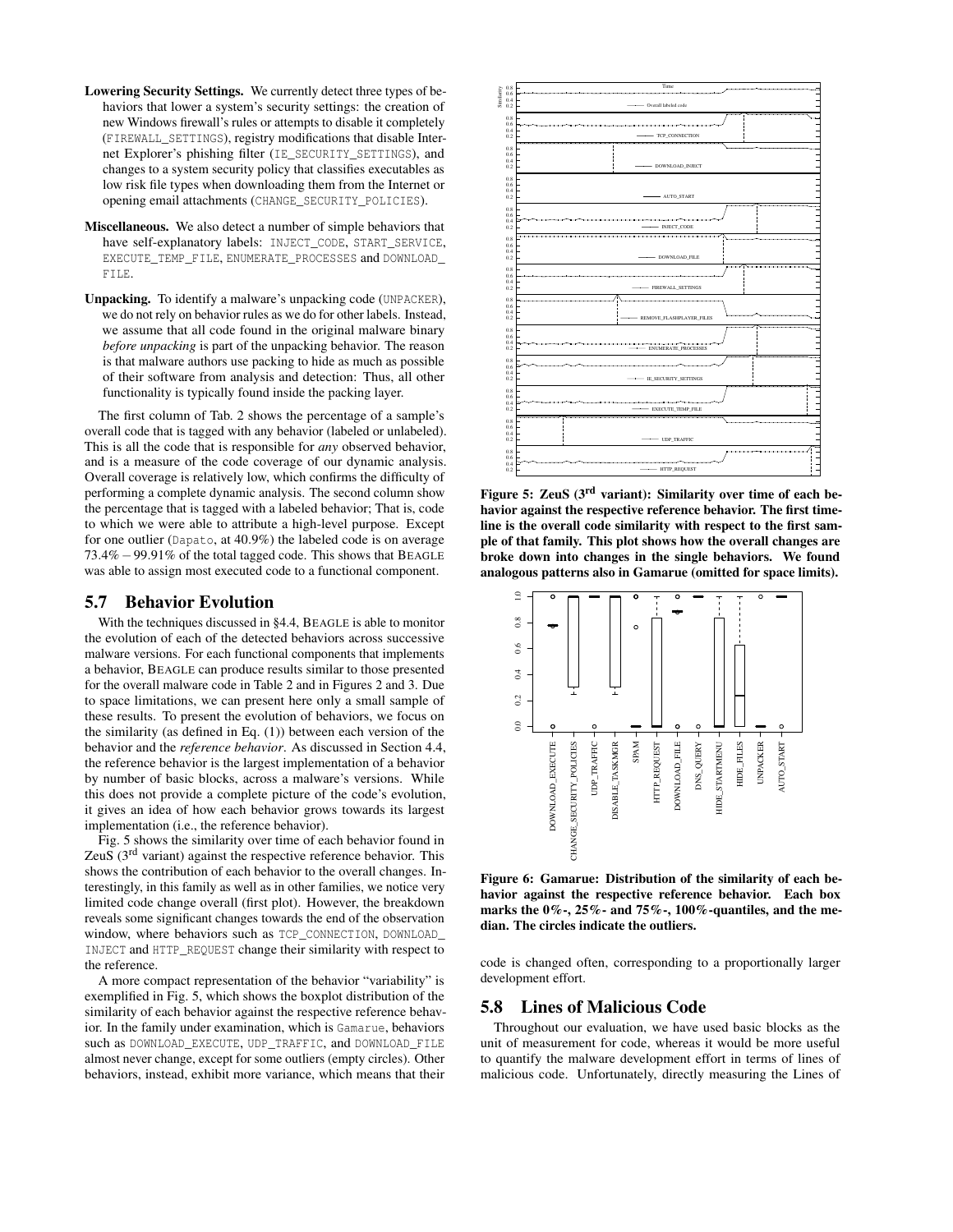- Lowering Security Settings. We currently detect three types of behaviors that lower a system's security settings: the creation of new Windows firewall's rules or attempts to disable it completely (FIREWALL\_SETTINGS), registry modifications that disable Internet Explorer's phishing filter (IE\_SECURITY\_SETTINGS), and changes to a system security policy that classifies executables as low risk file types when downloading them from the Internet or opening email attachments (CHANGE\_SECURITY\_POLICIES).
- Miscellaneous. We also detect a number of simple behaviors that have self-explanatory labels: INJECT CODE, START SERVICE, EXECUTE\_TEMP\_FILE, ENUMERATE\_PROCESSES and DOWNLOAD\_ FILE.
- Unpacking. To identify a malware's unpacking code (UNPACKER), we do not rely on behavior rules as we do for other labels. Instead, we assume that all code found in the original malware binary *before unpacking* is part of the unpacking behavior. The reason is that malware authors use packing to hide as much as possible of their software from analysis and detection: Thus, all other functionality is typically found inside the packing layer.

The first column of Tab. 2 shows the percentage of a sample's overall code that is tagged with any behavior (labeled or unlabeled). This is all the code that is responsible for *any* observed behavior, and is a measure of the code coverage of our dynamic analysis. Overall coverage is relatively low, which confirms the difficulty of performing a complete dynamic analysis. The second column show the percentage that is tagged with a labeled behavior; That is, code to which we were able to attribute a high-level purpose. Except for one outlier (Dapato, at 40.9%) the labeled code is on average 73.4% −99.91% of the total tagged code. This shows that BEAGLE was able to assign most executed code to a functional component.

## 5.7 Behavior Evolution

With the techniques discussed in §4.4, BEAGLE is able to monitor the evolution of each of the detected behaviors across successive malware versions. For each functional components that implements a behavior, BEAGLE can produce results similar to those presented for the overall malware code in Table 2 and in Figures 2 and 3. Due to space limitations, we can present here only a small sample of these results. To present the evolution of behaviors, we focus on the similarity (as defined in Eq. (1)) between each version of the behavior and the *reference behavior*. As discussed in Section 4.4, the reference behavior is the largest implementation of a behavior by number of basic blocks, across a malware's versions. While this does not provide a complete picture of the code's evolution, it gives an idea of how each behavior grows towards its largest implementation (i.e., the reference behavior).

Fig. 5 shows the similarity over time of each behavior found in ZeuS  $(3<sup>rd</sup>$  variant) against the respective reference behavior. This shows the contribution of each behavior to the overall changes. Interestingly, in this family as well as in other families, we notice very limited code change overall (first plot). However, the breakdown reveals some significant changes towards the end of the observation window, where behaviors such as TCP\_CONNECTION, DOWNLOAD\_ INJECT and HTTP\_REQUEST change their similarity with respect to the reference.

A more compact representation of the behavior "variability" is exemplified in Fig. 5, which shows the boxplot distribution of the similarity of each behavior against the respective reference behavior. In the family under examination, which is Gamarue, behaviors such as DOWNLOAD\_EXECUTE, UDP\_TRAFFIC, and DOWNLOAD\_FILE almost never change, except for some outliers (empty circles). Other behaviors, instead, exhibit more variance, which means that their



Figure 5: ZeuS (3rd variant): Similarity over time of each behavior against the respective reference behavior. The first timeline is the overall code similarity with respect to the first sample of that family. This plot shows how the overall changes are broke down into changes in the single behaviors. We found analogous patterns also in Gamarue (omitted for space limits).



Figure 6: Gamarue: Distribution of the similarity of each behavior against the respective reference behavior. Each box marks the  $0\%$ -,  $25\%$ - and  $75\%$ -,  $100\%$ -quantiles, and the median. The circles indicate the outliers.

code is changed often, corresponding to a proportionally larger development effort.

#### 5.8 Lines of Malicious Code

Throughout our evaluation, we have used basic blocks as the unit of measurement for code, whereas it would be more useful to quantify the malware development effort in terms of lines of malicious code. Unfortunately, directly measuring the Lines of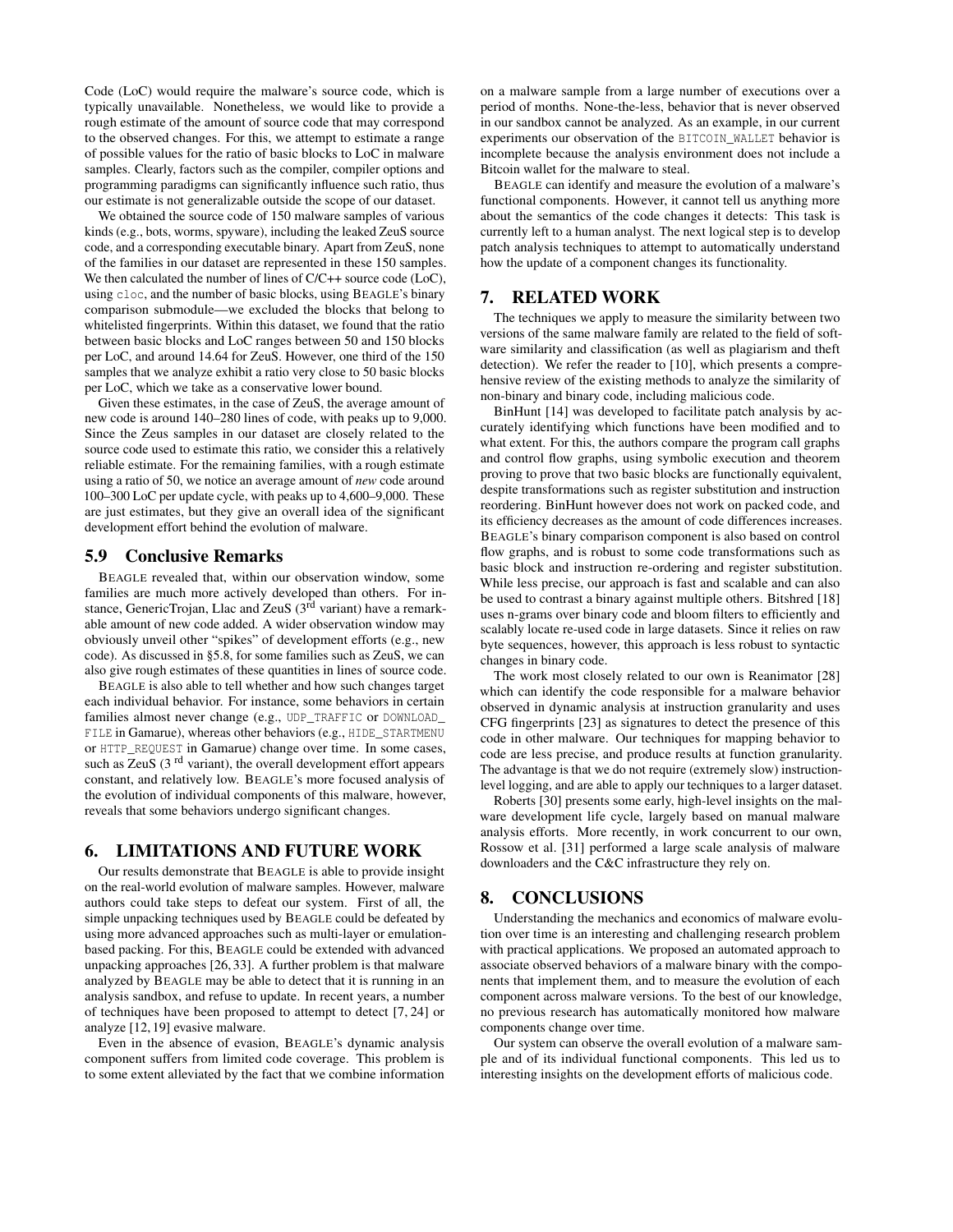Code (LoC) would require the malware's source code, which is typically unavailable. Nonetheless, we would like to provide a rough estimate of the amount of source code that may correspond to the observed changes. For this, we attempt to estimate a range of possible values for the ratio of basic blocks to LoC in malware samples. Clearly, factors such as the compiler, compiler options and programming paradigms can significantly influence such ratio, thus our estimate is not generalizable outside the scope of our dataset.

We obtained the source code of 150 malware samples of various kinds (e.g., bots, worms, spyware), including the leaked ZeuS source code, and a corresponding executable binary. Apart from ZeuS, none of the families in our dataset are represented in these 150 samples. We then calculated the number of lines of  $C/C++$  source code (LoC), using cloc, and the number of basic blocks, using BEAGLE's binary comparison submodule—we excluded the blocks that belong to whitelisted fingerprints. Within this dataset, we found that the ratio between basic blocks and LoC ranges between 50 and 150 blocks per LoC, and around 14.64 for ZeuS. However, one third of the 150 samples that we analyze exhibit a ratio very close to 50 basic blocks per LoC, which we take as a conservative lower bound.

Given these estimates, in the case of ZeuS, the average amount of new code is around 140–280 lines of code, with peaks up to 9,000. Since the Zeus samples in our dataset are closely related to the source code used to estimate this ratio, we consider this a relatively reliable estimate. For the remaining families, with a rough estimate using a ratio of 50, we notice an average amount of *new* code around 100–300 LoC per update cycle, with peaks up to 4,600–9,000. These are just estimates, but they give an overall idea of the significant development effort behind the evolution of malware.

## 5.9 Conclusive Remarks

BEAGLE revealed that, within our observation window, some families are much more actively developed than others. For instance, GenericTrojan, Llac and ZeuS (3<sup>rd</sup> variant) have a remarkable amount of new code added. A wider observation window may obviously unveil other "spikes" of development efforts (e.g., new code). As discussed in §5.8, for some families such as ZeuS, we can also give rough estimates of these quantities in lines of source code.

BEAGLE is also able to tell whether and how such changes target each individual behavior. For instance, some behaviors in certain families almost never change (e.g., UDP\_TRAFFIC or DOWNLOAD\_ FILE in Gamarue), whereas other behaviors (e.g., HIDE\_STARTMENU or HTTP\_REQUEST in Gamarue) change over time. In some cases, such as ZeuS  $(3<sup>rd</sup> variant)$ , the overall development effort appears constant, and relatively low. BEAGLE's more focused analysis of the evolution of individual components of this malware, however, reveals that some behaviors undergo significant changes.

## 6. LIMITATIONS AND FUTURE WORK

Our results demonstrate that BEAGLE is able to provide insight on the real-world evolution of malware samples. However, malware authors could take steps to defeat our system. First of all, the simple unpacking techniques used by BEAGLE could be defeated by using more advanced approaches such as multi-layer or emulationbased packing. For this, BEAGLE could be extended with advanced unpacking approaches [26, 33]. A further problem is that malware analyzed by BEAGLE may be able to detect that it is running in an analysis sandbox, and refuse to update. In recent years, a number of techniques have been proposed to attempt to detect [7, 24] or analyze [12, 19] evasive malware.

Even in the absence of evasion, BEAGLE's dynamic analysis component suffers from limited code coverage. This problem is to some extent alleviated by the fact that we combine information on a malware sample from a large number of executions over a period of months. None-the-less, behavior that is never observed in our sandbox cannot be analyzed. As an example, in our current experiments our observation of the BITCOIN\_WALLET behavior is incomplete because the analysis environment does not include a Bitcoin wallet for the malware to steal.

BEAGLE can identify and measure the evolution of a malware's functional components. However, it cannot tell us anything more about the semantics of the code changes it detects: This task is currently left to a human analyst. The next logical step is to develop patch analysis techniques to attempt to automatically understand how the update of a component changes its functionality.

# 7. RELATED WORK

The techniques we apply to measure the similarity between two versions of the same malware family are related to the field of software similarity and classification (as well as plagiarism and theft detection). We refer the reader to [10], which presents a comprehensive review of the existing methods to analyze the similarity of non-binary and binary code, including malicious code.

BinHunt [14] was developed to facilitate patch analysis by accurately identifying which functions have been modified and to what extent. For this, the authors compare the program call graphs and control flow graphs, using symbolic execution and theorem proving to prove that two basic blocks are functionally equivalent, despite transformations such as register substitution and instruction reordering. BinHunt however does not work on packed code, and its efficiency decreases as the amount of code differences increases. BEAGLE's binary comparison component is also based on control flow graphs, and is robust to some code transformations such as basic block and instruction re-ordering and register substitution. While less precise, our approach is fast and scalable and can also be used to contrast a binary against multiple others. Bitshred [18] uses n-grams over binary code and bloom filters to efficiently and scalably locate re-used code in large datasets. Since it relies on raw byte sequences, however, this approach is less robust to syntactic changes in binary code.

The work most closely related to our own is Reanimator [28] which can identify the code responsible for a malware behavior observed in dynamic analysis at instruction granularity and uses CFG fingerprints [23] as signatures to detect the presence of this code in other malware. Our techniques for mapping behavior to code are less precise, and produce results at function granularity. The advantage is that we do not require (extremely slow) instructionlevel logging, and are able to apply our techniques to a larger dataset.

Roberts [30] presents some early, high-level insights on the malware development life cycle, largely based on manual malware analysis efforts. More recently, in work concurrent to our own, Rossow et al. [31] performed a large scale analysis of malware downloaders and the C&C infrastructure they rely on.

# 8. CONCLUSIONS

Understanding the mechanics and economics of malware evolution over time is an interesting and challenging research problem with practical applications. We proposed an automated approach to associate observed behaviors of a malware binary with the components that implement them, and to measure the evolution of each component across malware versions. To the best of our knowledge, no previous research has automatically monitored how malware components change over time.

Our system can observe the overall evolution of a malware sample and of its individual functional components. This led us to interesting insights on the development efforts of malicious code.